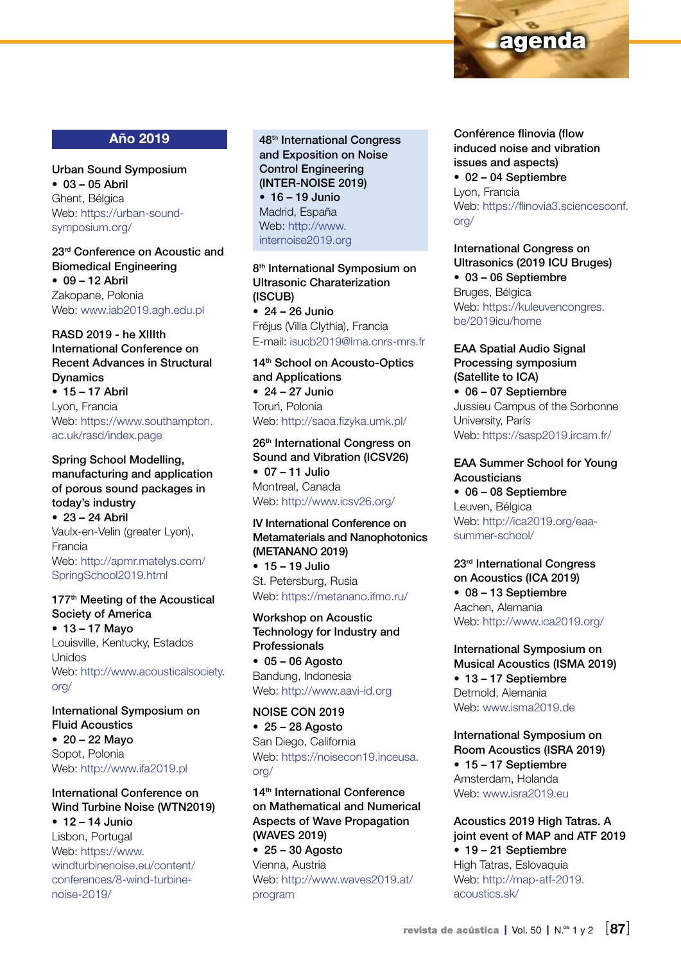

## Año 2019

Urban Sound Symposium  $• 03 - 05$  Abril Ghent, Bélgica Web: [https://urban-sound](https://urban-sound-symposium.org/)[symposium.org/](https://urban-sound-symposium.org/)

23rd Conference on Acoustic and Biomedical Engineering  $• 09 - 12$  Abril Zakopane, Polonia Web: [www.iab2019.agh.edu.pl](http://www.iab2019.agh.edu.pl)

## RASD 2019 - he XIIIth International Conference on Recent Advances in Structural Dynamics

• 15 – 17 Abril Lyon, Francia Web: [https://www.southampton.](https://www.southampton.ac.uk/rasd/index.page) [ac.uk/rasd/index.page](https://www.southampton.ac.uk/rasd/index.page)

Spring School Modelling, manufacturing and application of porous sound packages in today's industry  $• 23 - 24$  Abril Vaulx-en-Velin (greater Lyon), Francia Web: [http://apmr.matelys.com/](http://apmr.matelys.com/SpringSchool2019.html) [SpringSchool2019.html](http://apmr.matelys.com/SpringSchool2019.html)

#### 177<sup>th</sup> Meeting of the Acoustical Society of America

• 13 – 17 Mayo Louisville, Kentucky, Estados Unidos Web: [http://www.acousticalsociety.](http://www.acousticalsociety.org/) [org/](http://www.acousticalsociety.org/)

International Symposium on Fluid Acoustics •  $20 - 22$  Mayo Sopot, Polonia Web: <http://www.ifa2019.pl>

#### International Conference on Wind Turbine Noise (WTN2019)  $• 12 - 14$  Junio

Lisbon, Portugal Web: [https://www.](https://www.windturbinenoise.eu/content/conferences/8-wind-turbine-noise-2019/) [windturbinenoise.eu/content/](https://www.windturbinenoise.eu/content/conferences/8-wind-turbine-noise-2019/) [conferences/8-wind-turbine](https://www.windturbinenoise.eu/content/conferences/8-wind-turbine-noise-2019/)[noise-2019/](https://www.windturbinenoise.eu/content/conferences/8-wind-turbine-noise-2019/)

48th International Congress and Exposition on Noise Control Engineering (INTER-NOISE 2019) • 16 – 19 Junio

Madrid, España Web: [http://www.](http://www.internoise2019.org) [internoise2019.org](http://www.internoise2019.org)

8<sup>th</sup> International Symposium on Ultrasonic Charaterization (ISCUB)  $\bullet$  24 – 26 Junio Fréjus (Villa Clythia), Francia E-mail: [isucb2019@lma.cnrs-mrs.fr](mailto:isucb2019%40lma.cnrs-mrs.fr?subject=)

#### 14<sup>th</sup> School on Acousto-Optics and Applications

 $\bullet$  24 – 27 Junio Toruń, Polonia Web:<http://saoa.fizyka.umk.pl/>

26th International Congress on Sound and Vibration (ICSV26) • 07 – 11 Julio Montreal, Canada Web:<http://www.icsv26.org/>

## IV International Conference on Metamaterials and Nanophotonics (METANANO 2019)

• 15 – 19 Julio St. Petersburg, Rusia Web:<https://metanano.ifmo.ru/>

Workshop on Acoustic Technology for Industry and Professionals  $• 05 - 06$  Agosto

Bandung, Indonesia Web:<http://www.aavi-id.org>

#### NOISE CON 2019  $• 25 - 28$  Agosto

San Diego, California Web: [https://noisecon19.inceusa.](https://noisecon19.inceusa.org/) [org/](https://noisecon19.inceusa.org/)

14<sup>th</sup> International Conference on Mathematical and Numerical Aspects of Wave Propagation (WAVES 2019)

 $• 25 - 30$  Agosto Vienna, Austria Web: [http://www.waves2019.at/](http://www.waves2019.at/program) [program](http://www.waves2019.at/program)

Conférence flinovia (flow induced noise and vibration issues and aspects) • 02 – 04 Septiembre Lyon, Francia Web: [https://flinovia3.sciencesconf.](https://flinovia3.sciencesconf.org/) [org/](https://flinovia3.sciencesconf.org/)

International Congress on Ultrasonics (2019 ICU Bruges) • 03 – 06 Septiembre Bruges, Bélgica Web: [https://kuleuvencongres.](https://kuleuvencongres.be/2019icu/home) [be/2019icu/home](https://kuleuvencongres.be/2019icu/home)

#### EAA Spatial Audio Signal Processing symposium (Satellite to ICA) • 06 – 07 Septiembre

Jussieu Campus of the Sorbonne University, París Web:<https://sasp2019.ircam.fr/>

## EAA Summer School for Young **Acousticians**

• 06 – 08 Septiembre Leuven, Bélgica Web: [http://ica2019.org/eaa](http://ica2019.org/eaa-summer-school/)[summer-school/](http://ica2019.org/eaa-summer-school/)

23rd International Congress on Acoustics (ICA 2019) • 08 – 13 Septiembre Aachen, Alemania Web:<http://www.ica2019.org/>

International Symposium on Musical Acoustics (ISMA 2019) • 13 – 17 Septiembre Detmold, Alemania Web: [www.isma2019.de](http://www.isma2019.de)

International Symposium on Room Acoustics (ISRA 2019) • 15 – 17 Septiembre Amsterdam, Holanda Web: [www.isra2019.eu](http://www.isra2019.eu)

### Acoustics 2019 High Tatras. A joint event of MAP and ATF 2019 • 19 – 21 Septiembre

High Tatras, Eslovaquia Web: [http://map-atf-2019.](http://map-atf-2019.acoustics.sk/) [acoustics.sk/](http://map-atf-2019.acoustics.sk/)